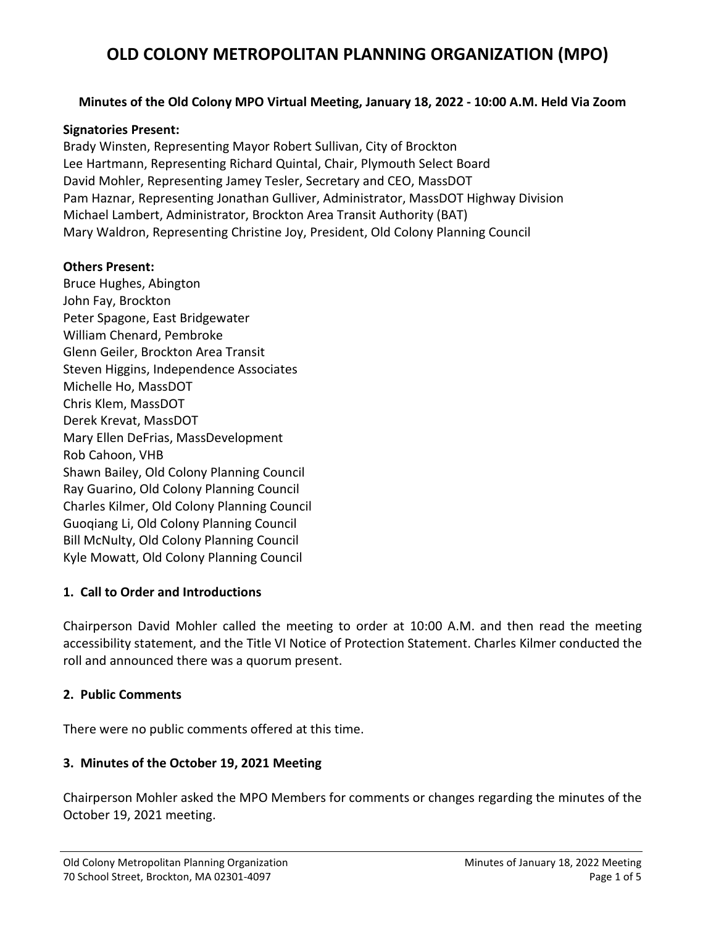#### **Minutes of the Old Colony MPO Virtual Meeting, January 18, 2022 - 10:00 A.M. Held Via Zoom**

#### **Signatories Present:**

Brady Winsten, Representing Mayor Robert Sullivan, City of Brockton Lee Hartmann, Representing Richard Quintal, Chair, Plymouth Select Board David Mohler, Representing Jamey Tesler, Secretary and CEO, MassDOT Pam Haznar, Representing Jonathan Gulliver, Administrator, MassDOT Highway Division Michael Lambert, Administrator, Brockton Area Transit Authority (BAT) Mary Waldron, Representing Christine Joy, President, Old Colony Planning Council

#### **Others Present:**

Bruce Hughes, Abington John Fay, Brockton Peter Spagone, East Bridgewater William Chenard, Pembroke Glenn Geiler, Brockton Area Transit Steven Higgins, Independence Associates Michelle Ho, MassDOT Chris Klem, MassDOT Derek Krevat, MassDOT Mary Ellen DeFrias, MassDevelopment Rob Cahoon, VHB Shawn Bailey, Old Colony Planning Council Ray Guarino, Old Colony Planning Council Charles Kilmer, Old Colony Planning Council Guoqiang Li, Old Colony Planning Council Bill McNulty, Old Colony Planning Council Kyle Mowatt, Old Colony Planning Council

#### **1. Call to Order and Introductions**

Chairperson David Mohler called the meeting to order at 10:00 A.M. and then read the meeting accessibility statement, and the Title VI Notice of Protection Statement. Charles Kilmer conducted the roll and announced there was a quorum present.

#### **2. Public Comments**

There were no public comments offered at this time.

#### **3. Minutes of the October 19, 2021 Meeting**

Chairperson Mohler asked the MPO Members for comments or changes regarding the minutes of the October 19, 2021 meeting.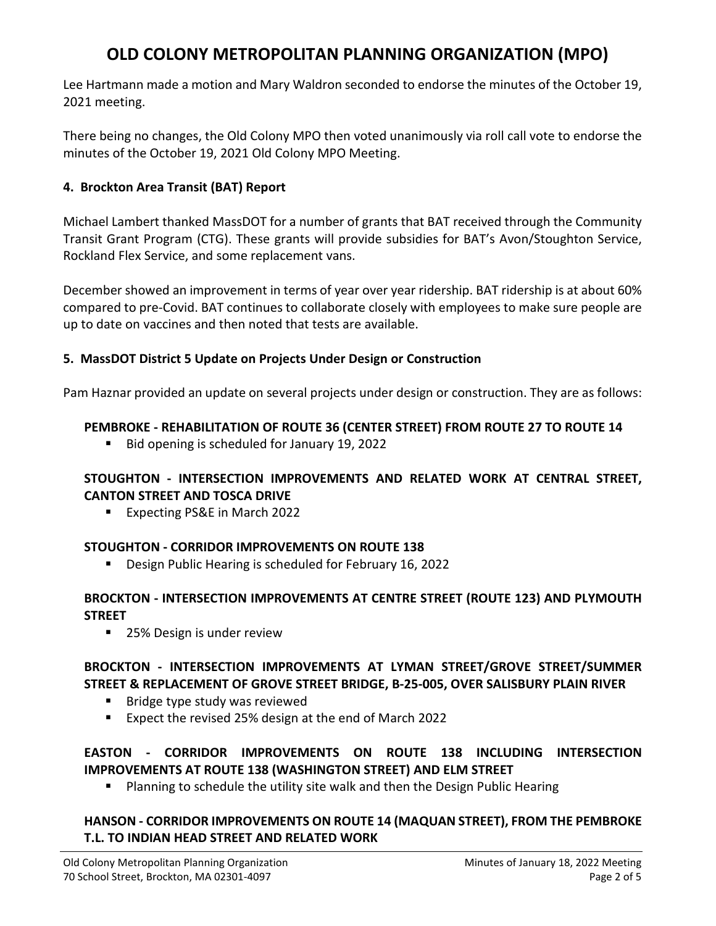Lee Hartmann made a motion and Mary Waldron seconded to endorse the minutes of the October 19, 2021 meeting.

There being no changes, the Old Colony MPO then voted unanimously via roll call vote to endorse the minutes of the October 19, 2021 Old Colony MPO Meeting.

### **4. Brockton Area Transit (BAT) Report**

Michael Lambert thanked MassDOT for a number of grants that BAT received through the Community Transit Grant Program (CTG). These grants will provide subsidies for BAT's Avon/Stoughton Service, Rockland Flex Service, and some replacement vans.

December showed an improvement in terms of year over year ridership. BAT ridership is at about 60% compared to pre-Covid. BAT continues to collaborate closely with employees to make sure people are up to date on vaccines and then noted that tests are available.

### **5. MassDOT District 5 Update on Projects Under Design or Construction**

Pam Haznar provided an update on several projects under design or construction. They are as follows:

### **PEMBROKE - REHABILITATION OF ROUTE 36 (CENTER STREET) FROM ROUTE 27 TO ROUTE 14**

Bid opening is scheduled for January 19, 2022

### **STOUGHTON - INTERSECTION IMPROVEMENTS AND RELATED WORK AT CENTRAL STREET, CANTON STREET AND TOSCA DRIVE**

■ Expecting PS&E in March 2022

#### **STOUGHTON - CORRIDOR IMPROVEMENTS ON ROUTE 138**

**Design Public Hearing is scheduled for February 16, 2022** 

### **BROCKTON - INTERSECTION IMPROVEMENTS AT CENTRE STREET (ROUTE 123) AND PLYMOUTH STREET**

■ 25% Design is under review

#### **BROCKTON - INTERSECTION IMPROVEMENTS AT LYMAN STREET/GROVE STREET/SUMMER STREET & REPLACEMENT OF GROVE STREET BRIDGE, B-25-005, OVER SALISBURY PLAIN RIVER**

- **Bridge type study was reviewed**
- Expect the revised 25% design at the end of March 2022

## **EASTON - CORRIDOR IMPROVEMENTS ON ROUTE 138 INCLUDING INTERSECTION IMPROVEMENTS AT ROUTE 138 (WASHINGTON STREET) AND ELM STREET**

Planning to schedule the utility site walk and then the Design Public Hearing

## **HANSON - CORRIDOR IMPROVEMENTS ON ROUTE 14 (MAQUAN STREET), FROM THE PEMBROKE T.L. TO INDIAN HEAD STREET AND RELATED WORK**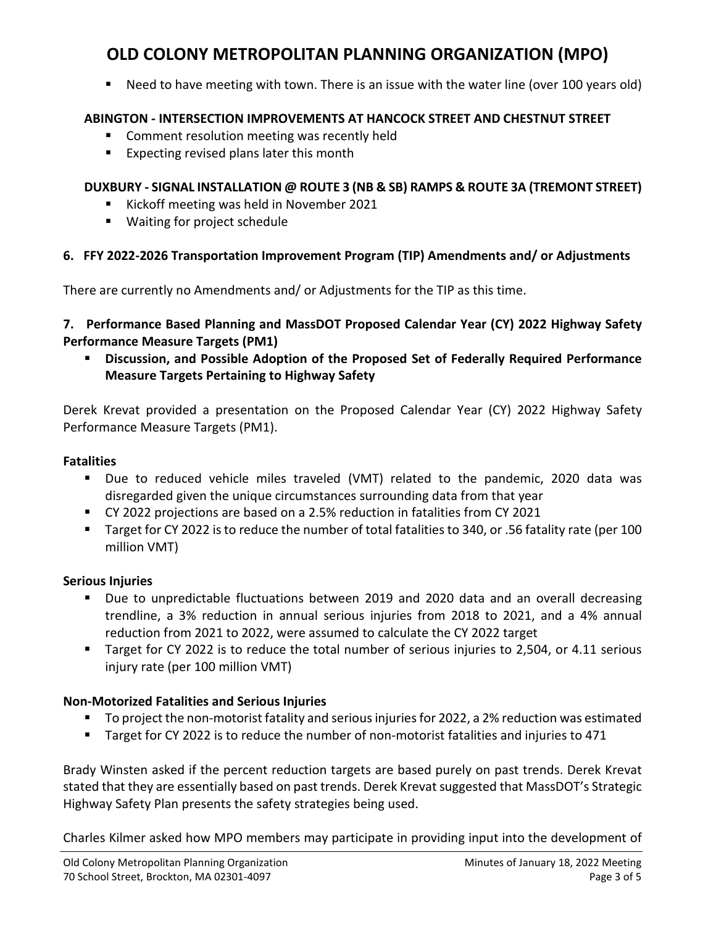Need to have meeting with town. There is an issue with the water line (over 100 years old)

### **ABINGTON - INTERSECTION IMPROVEMENTS AT HANCOCK STREET AND CHESTNUT STREET**

- **EXTERCOMMENT COMMENT COMMENT** Comment resolution meeting was recently held
- **Expecting revised plans later this month**

### **DUXBURY - SIGNAL INSTALLATION @ ROUTE 3 (NB & SB) RAMPS & ROUTE 3A (TREMONT STREET)**

- Kickoff meeting was held in November 2021
- Waiting for project schedule

### **6. FFY 2022-2026 Transportation Improvement Program (TIP) Amendments and/ or Adjustments**

There are currently no Amendments and/ or Adjustments for the TIP as this time.

### **7. Performance Based Planning and MassDOT Proposed Calendar Year (CY) 2022 Highway Safety Performance Measure Targets (PM1)**

 **Discussion, and Possible Adoption of the Proposed Set of Federally Required Performance Measure Targets Pertaining to Highway Safety**

Derek Krevat provided a presentation on the Proposed Calendar Year (CY) 2022 Highway Safety Performance Measure Targets (PM1).

#### **Fatalities**

- Due to reduced vehicle miles traveled (VMT) related to the pandemic, 2020 data was disregarded given the unique circumstances surrounding data from that year
- CY 2022 projections are based on a 2.5% reduction in fatalities from CY 2021
- Target for CY 2022 is to reduce the number of total fatalities to 340, or .56 fatality rate (per 100 million VMT)

#### **Serious Injuries**

- Due to unpredictable fluctuations between 2019 and 2020 data and an overall decreasing trendline, a 3% reduction in annual serious injuries from 2018 to 2021, and a 4% annual reduction from 2021 to 2022, were assumed to calculate the CY 2022 target
- Target for CY 2022 is to reduce the total number of serious injuries to 2,504, or 4.11 serious injury rate (per 100 million VMT)

## **Non-Motorized Fatalities and Serious Injuries**

- To project the non-motorist fatality and serious injuries for 2022, a 2% reduction was estimated
- Target for CY 2022 is to reduce the number of non-motorist fatalities and injuries to 471

Brady Winsten asked if the percent reduction targets are based purely on past trends. Derek Krevat stated that they are essentially based on past trends. Derek Krevat suggested that MassDOT's Strategic Highway Safety Plan presents the safety strategies being used.

Charles Kilmer asked how MPO members may participate in providing input into the development of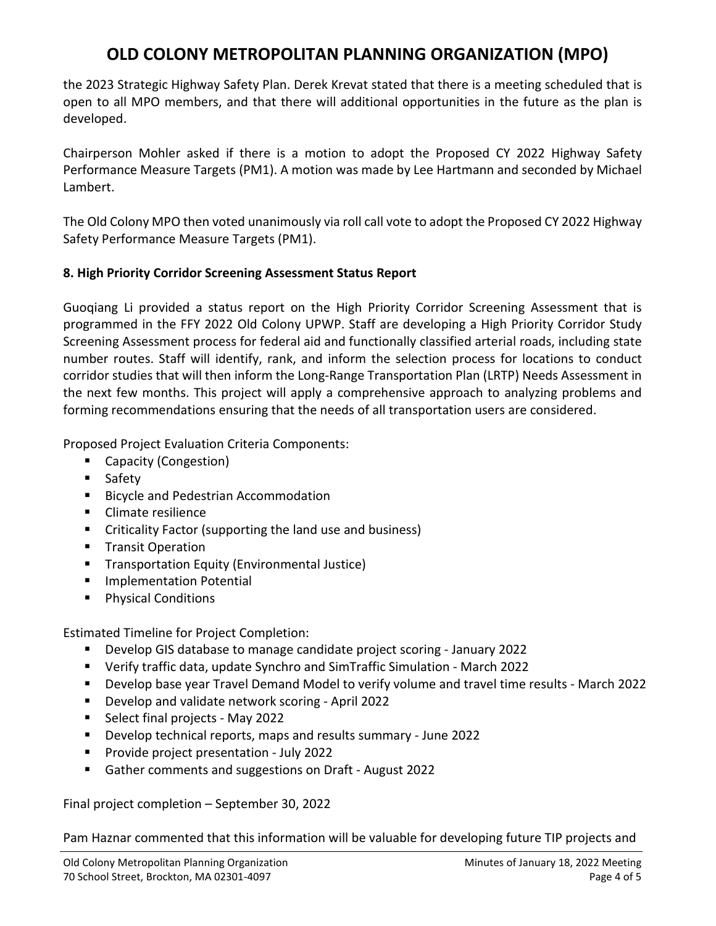the 2023 Strategic Highway Safety Plan. Derek Krevat stated that there is a meeting scheduled that is open to all MPO members, and that there will additional opportunities in the future as the plan is developed.

Chairperson Mohler asked if there is a motion to adopt the Proposed CY 2022 Highway Safety Performance Measure Targets (PM1). A motion was made by Lee Hartmann and seconded by Michael Lambert.

The Old Colony MPO then voted unanimously via roll call vote to adopt the Proposed CY 2022 Highway Safety Performance Measure Targets (PM1).

### **8. High Priority Corridor Screening Assessment Status Report**

Guoqiang Li provided a status report on the High Priority Corridor Screening Assessment that is programmed in the FFY 2022 Old Colony UPWP. Staff are developing a High Priority Corridor Study Screening Assessment process for federal aid and functionally classified arterial roads, including state number routes. Staff will identify, rank, and inform the selection process for locations to conduct corridor studies that will then inform the Long-Range Transportation Plan (LRTP) Needs Assessment in the next few months. This project will apply a comprehensive approach to analyzing problems and forming recommendations ensuring that the needs of all transportation users are considered.

Proposed Project Evaluation Criteria Components:

- Capacity (Congestion)
- **Safety**
- **Bicycle and Pedestrian Accommodation**
- **Climate resilience**
- Criticality Factor (supporting the land use and business)
- **Transit Operation**
- **Transportation Equity (Environmental Justice)**
- **Implementation Potential**
- **Physical Conditions**

Estimated Timeline for Project Completion:

- Develop GIS database to manage candidate project scoring January 2022
- Verify traffic data, update Synchro and SimTraffic Simulation March 2022
- Develop base year Travel Demand Model to verify volume and travel time results March 2022
- **Develop and validate network scoring April 2022**
- Select final projects May 2022
- Develop technical reports, maps and results summary June 2022
- **Provide project presentation July 2022**
- Gather comments and suggestions on Draft August 2022

Final project completion – September 30, 2022

Pam Haznar commented that this information will be valuable for developing future TIP projects and